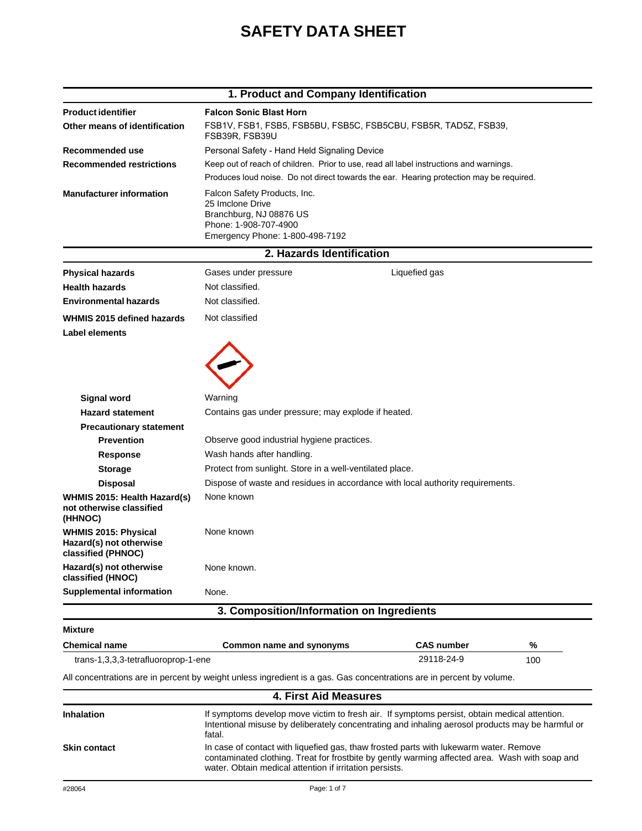# **SAFETY DATA SHEET**

|                                                                              | 1. Product and Company Identification                                                                                                                                                                      |                   |     |
|------------------------------------------------------------------------------|------------------------------------------------------------------------------------------------------------------------------------------------------------------------------------------------------------|-------------------|-----|
| <b>Product identifier</b>                                                    | <b>Falcon Sonic Blast Horn</b>                                                                                                                                                                             |                   |     |
| Other means of identification                                                | FSB1V, FSB1, FSB5, FSB5BU, FSB5C, FSB5CBU, FSB5R, TAD5Z, FSB39,<br>FSB39R, FSB39U                                                                                                                          |                   |     |
| Recommended use                                                              | Personal Safety - Hand Held Signaling Device                                                                                                                                                               |                   |     |
| <b>Recommended restrictions</b>                                              | Keep out of reach of children. Prior to use, read all label instructions and warnings.                                                                                                                     |                   |     |
|                                                                              | Produces loud noise. Do not direct towards the ear. Hearing protection may be required.                                                                                                                    |                   |     |
| <b>Manufacturer information</b>                                              | Falcon Safety Products, Inc.<br>25 Imclone Drive<br>Branchburg, NJ 08876 US<br>Phone: 1-908-707-4900<br>Emergency Phone: 1-800-498-7192                                                                    |                   |     |
|                                                                              | 2. Hazards Identification                                                                                                                                                                                  |                   |     |
| <b>Physical hazards</b>                                                      | Gases under pressure                                                                                                                                                                                       | Liquefied gas     |     |
| <b>Health hazards</b>                                                        | Not classified.                                                                                                                                                                                            |                   |     |
| <b>Environmental hazards</b>                                                 | Not classified.                                                                                                                                                                                            |                   |     |
| WHMIS 2015 defined hazards<br><b>Label elements</b>                          | Not classified                                                                                                                                                                                             |                   |     |
|                                                                              |                                                                                                                                                                                                            |                   |     |
|                                                                              |                                                                                                                                                                                                            |                   |     |
| Signal word                                                                  | Warning                                                                                                                                                                                                    |                   |     |
| <b>Hazard statement</b>                                                      | Contains gas under pressure; may explode if heated.                                                                                                                                                        |                   |     |
| <b>Precautionary statement</b>                                               |                                                                                                                                                                                                            |                   |     |
| <b>Prevention</b>                                                            | Observe good industrial hygiene practices.                                                                                                                                                                 |                   |     |
| <b>Response</b>                                                              | Wash hands after handling.<br>Protect from sunlight. Store in a well-ventilated place.                                                                                                                     |                   |     |
| <b>Storage</b>                                                               | Dispose of waste and residues in accordance with local authority requirements.                                                                                                                             |                   |     |
| <b>Disposal</b><br>WHMIS 2015: Health Hazard(s)                              | None known                                                                                                                                                                                                 |                   |     |
| not otherwise classified<br>(HHNOC)                                          |                                                                                                                                                                                                            |                   |     |
| <b>WHMIS 2015: Physical</b><br>Hazard(s) not otherwise<br>classified (PHNOC) | None known                                                                                                                                                                                                 |                   |     |
| Hazard(s) not otherwise<br>classified (HNOC)                                 | None known.                                                                                                                                                                                                |                   |     |
| <b>Supplemental information</b>                                              | None.                                                                                                                                                                                                      |                   |     |
|                                                                              | 3. Composition/Information on Ingredients                                                                                                                                                                  |                   |     |
| <b>Mixture</b>                                                               |                                                                                                                                                                                                            |                   |     |
| <b>Chemical name</b>                                                         | Common name and synonyms                                                                                                                                                                                   | <b>CAS number</b> | %   |
| trans-1,3,3,3-tetrafluoroprop-1-ene                                          |                                                                                                                                                                                                            | 29118-24-9        | 100 |
|                                                                              | All concentrations are in percent by weight unless ingredient is a gas. Gas concentrations are in percent by volume.                                                                                       |                   |     |
|                                                                              | <b>4. First Aid Measures</b>                                                                                                                                                                               |                   |     |
| Inhalation                                                                   | If symptoms develop move victim to fresh air. If symptoms persist, obtain medical attention.<br>Intentional misuse by deliberately concentrating and inhaling aerosol products may be harmful or<br>fatal. |                   |     |

**Skin contact**

water. Obtain medical attention if irritation persists.

In case of contact with liquefied gas, thaw frosted parts with lukewarm water. Remove

contaminated clothing. Treat for frostbite by gently warming affected area. Wash with soap and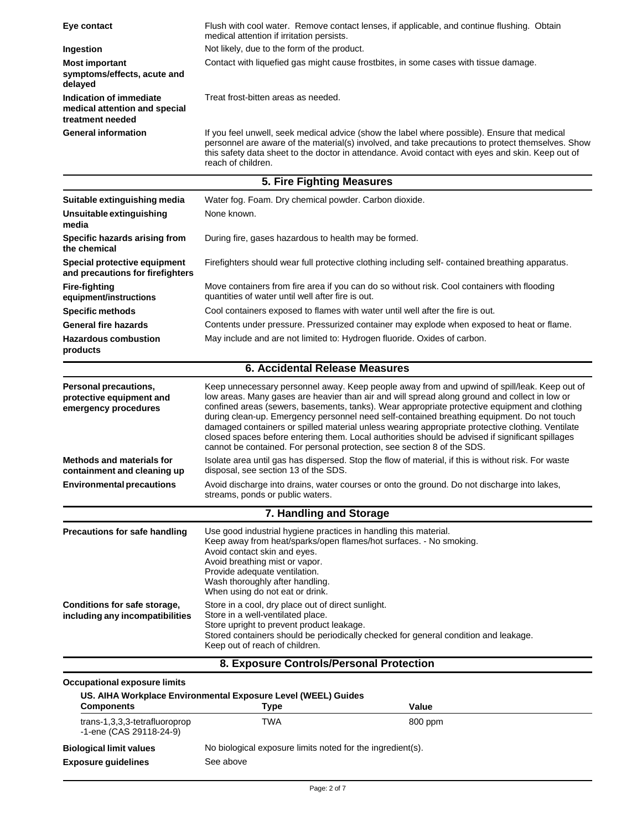| Eye contact                                                                  | Flush with cool water. Remove contact lenses, if applicable, and continue flushing. Obtain                                                                                                                                                                                                                                                                                                                                                                                                                                                                                                                                                                                      |  |  |
|------------------------------------------------------------------------------|---------------------------------------------------------------------------------------------------------------------------------------------------------------------------------------------------------------------------------------------------------------------------------------------------------------------------------------------------------------------------------------------------------------------------------------------------------------------------------------------------------------------------------------------------------------------------------------------------------------------------------------------------------------------------------|--|--|
|                                                                              | medical attention if irritation persists.<br>Not likely, due to the form of the product.                                                                                                                                                                                                                                                                                                                                                                                                                                                                                                                                                                                        |  |  |
| Ingestion                                                                    | Contact with liquefied gas might cause frostbites, in some cases with tissue damage.                                                                                                                                                                                                                                                                                                                                                                                                                                                                                                                                                                                            |  |  |
| <b>Most important</b><br>symptoms/effects, acute and                         |                                                                                                                                                                                                                                                                                                                                                                                                                                                                                                                                                                                                                                                                                 |  |  |
| delayed                                                                      |                                                                                                                                                                                                                                                                                                                                                                                                                                                                                                                                                                                                                                                                                 |  |  |
| Indication of immediate<br>medical attention and special<br>treatment needed | Treat frost-bitten areas as needed.                                                                                                                                                                                                                                                                                                                                                                                                                                                                                                                                                                                                                                             |  |  |
| <b>General information</b>                                                   | If you feel unwell, seek medical advice (show the label where possible). Ensure that medical<br>personnel are aware of the material(s) involved, and take precautions to protect themselves. Show<br>this safety data sheet to the doctor in attendance. Avoid contact with eyes and skin. Keep out of<br>reach of children.                                                                                                                                                                                                                                                                                                                                                    |  |  |
|                                                                              | 5. Fire Fighting Measures                                                                                                                                                                                                                                                                                                                                                                                                                                                                                                                                                                                                                                                       |  |  |
| Suitable extinguishing media                                                 | Water fog. Foam. Dry chemical powder. Carbon dioxide.                                                                                                                                                                                                                                                                                                                                                                                                                                                                                                                                                                                                                           |  |  |
| Unsuitable extinguishing<br>media                                            | None known.                                                                                                                                                                                                                                                                                                                                                                                                                                                                                                                                                                                                                                                                     |  |  |
| Specific hazards arising from<br>the chemical                                | During fire, gases hazardous to health may be formed.                                                                                                                                                                                                                                                                                                                                                                                                                                                                                                                                                                                                                           |  |  |
| Special protective equipment<br>and precautions for firefighters             | Firefighters should wear full protective clothing including self- contained breathing apparatus.                                                                                                                                                                                                                                                                                                                                                                                                                                                                                                                                                                                |  |  |
| <b>Fire-fighting</b><br>equipment/instructions                               | Move containers from fire area if you can do so without risk. Cool containers with flooding<br>quantities of water until well after fire is out.                                                                                                                                                                                                                                                                                                                                                                                                                                                                                                                                |  |  |
| <b>Specific methods</b>                                                      | Cool containers exposed to flames with water until well after the fire is out.                                                                                                                                                                                                                                                                                                                                                                                                                                                                                                                                                                                                  |  |  |
| <b>General fire hazards</b>                                                  | Contents under pressure. Pressurized container may explode when exposed to heat or flame.                                                                                                                                                                                                                                                                                                                                                                                                                                                                                                                                                                                       |  |  |
| <b>Hazardous combustion</b><br>products                                      | May include and are not limited to: Hydrogen fluoride. Oxides of carbon.                                                                                                                                                                                                                                                                                                                                                                                                                                                                                                                                                                                                        |  |  |
|                                                                              | 6. Accidental Release Measures                                                                                                                                                                                                                                                                                                                                                                                                                                                                                                                                                                                                                                                  |  |  |
| Personal precautions,<br>protective equipment and<br>emergency procedures    | Keep unnecessary personnel away. Keep people away from and upwind of spill/leak. Keep out of<br>low areas. Many gases are heavier than air and will spread along ground and collect in low or<br>confined areas (sewers, basements, tanks). Wear appropriate protective equipment and clothing<br>during clean-up. Emergency personnel need self-contained breathing equipment. Do not touch<br>damaged containers or spilled material unless wearing appropriate protective clothing. Ventilate<br>closed spaces before entering them. Local authorities should be advised if significant spillages<br>cannot be contained. For personal protection, see section 8 of the SDS. |  |  |
| <b>Methods and materials for</b><br>containment and cleaning up              | Isolate area until gas has dispersed. Stop the flow of material, if this is without risk. For waste<br>disposal, see section 13 of the SDS.                                                                                                                                                                                                                                                                                                                                                                                                                                                                                                                                     |  |  |
| <b>Environmental precautions</b>                                             | Avoid discharge into drains, water courses or onto the ground. Do not discharge into lakes,<br>streams, ponds or public waters.                                                                                                                                                                                                                                                                                                                                                                                                                                                                                                                                                 |  |  |
|                                                                              | 7. Handling and Storage                                                                                                                                                                                                                                                                                                                                                                                                                                                                                                                                                                                                                                                         |  |  |
| Precautions for safe handling                                                | Use good industrial hygiene practices in handling this material.<br>Keep away from heat/sparks/open flames/hot surfaces. - No smoking.<br>Avoid contact skin and eyes.<br>Avoid breathing mist or vapor.<br>Provide adequate ventilation.<br>Wash thoroughly after handling.<br>When using do not eat or drink.                                                                                                                                                                                                                                                                                                                                                                 |  |  |
| Conditions for safe storage,<br>including any incompatibilities              | Store in a cool, dry place out of direct sunlight.<br>Store in a well-ventilated place.<br>Store upright to prevent product leakage.<br>Stored containers should be periodically checked for general condition and leakage.<br>Keep out of reach of children.                                                                                                                                                                                                                                                                                                                                                                                                                   |  |  |
|                                                                              | 8. Exposure Controls/Personal Protection                                                                                                                                                                                                                                                                                                                                                                                                                                                                                                                                                                                                                                        |  |  |
|                                                                              |                                                                                                                                                                                                                                                                                                                                                                                                                                                                                                                                                                                                                                                                                 |  |  |

## **Occupational exposure limits**

| US. AIHA Workplace Environmental Exposure Level (WEEL) Guides |                                                                         |         |  |
|---------------------------------------------------------------|-------------------------------------------------------------------------|---------|--|
| <b>Components</b>                                             | Type                                                                    | Value   |  |
| trans-1,3,3,3-tetrafluoroprop<br>-1-ene (CAS 29118-24-9)      | TWA                                                                     | 800 ppm |  |
| <b>Biological limit values</b><br><b>Exposure quidelines</b>  | No biological exposure limits noted for the ingredient(s).<br>See above |         |  |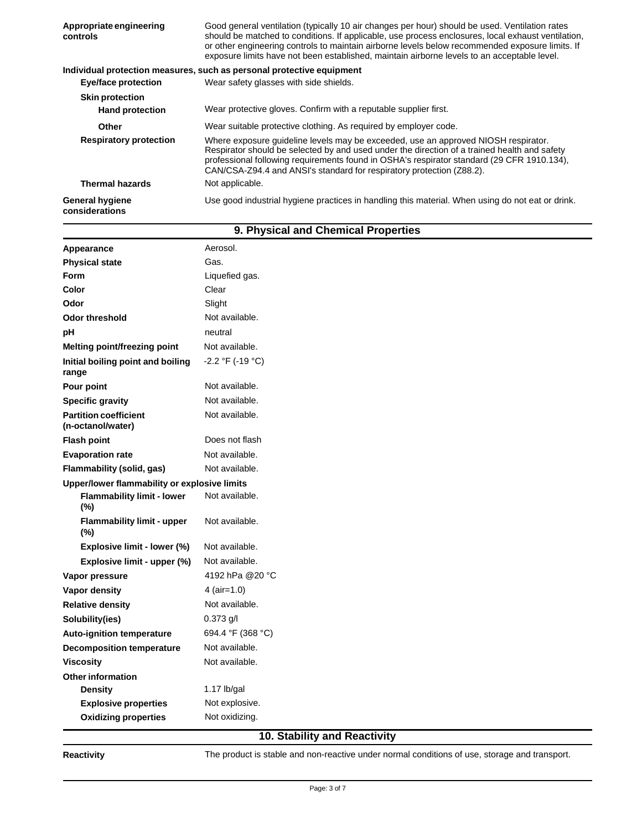| Appropriate engineering<br>controls      | Good general ventilation (typically 10 air changes per hour) should be used. Ventilation rates<br>should be matched to conditions. If applicable, use process enclosures, local exhaust ventilation,<br>or other engineering controls to maintain airborne levels below recommended exposure limits. If<br>exposure limits have not been established, maintain airborne levels to an acceptable level. |  |  |
|------------------------------------------|--------------------------------------------------------------------------------------------------------------------------------------------------------------------------------------------------------------------------------------------------------------------------------------------------------------------------------------------------------------------------------------------------------|--|--|
|                                          | Individual protection measures, such as personal protective equipment                                                                                                                                                                                                                                                                                                                                  |  |  |
| Eye/face protection                      | Wear safety glasses with side shields.                                                                                                                                                                                                                                                                                                                                                                 |  |  |
| <b>Skin protection</b>                   |                                                                                                                                                                                                                                                                                                                                                                                                        |  |  |
| <b>Hand protection</b>                   | Wear protective gloves. Confirm with a reputable supplier first.                                                                                                                                                                                                                                                                                                                                       |  |  |
| <b>Other</b>                             | Wear suitable protective clothing. As required by employer code.                                                                                                                                                                                                                                                                                                                                       |  |  |
| <b>Respiratory protection</b>            | Where exposure quideline levels may be exceeded, use an approved NIOSH respirator.<br>Respirator should be selected by and used under the direction of a trained health and safety<br>professional following requirements found in OSHA's respirator standard (29 CFR 1910.134),<br>CAN/CSA-Z94.4 and ANSI's standard for respiratory protection (Z88.2).                                              |  |  |
| <b>Thermal hazards</b>                   | Not applicable.                                                                                                                                                                                                                                                                                                                                                                                        |  |  |
| <b>General hygiene</b><br>considerations | Use good industrial hygiene practices in handling this material. When using do not eat or drink.                                                                                                                                                                                                                                                                                                       |  |  |

| Aerosol.<br>Appearance                            |                    |  |  |
|---------------------------------------------------|--------------------|--|--|
| <b>Physical state</b>                             | Gas.               |  |  |
| <b>Form</b>                                       | Liquefied gas.     |  |  |
| Color                                             | Clear              |  |  |
| Odor                                              | Slight             |  |  |
| <b>Odor threshold</b>                             | Not available.     |  |  |
| рH                                                | neutral            |  |  |
| Melting point/freezing point                      | Not available.     |  |  |
| Initial boiling point and boiling<br>range        | $-2.2 °F (-19 °C)$ |  |  |
| Pour point                                        | Not available.     |  |  |
| <b>Specific gravity</b>                           | Not available.     |  |  |
| <b>Partition coefficient</b><br>(n-octanol/water) | Not available.     |  |  |
| <b>Flash point</b>                                | Does not flash     |  |  |
| <b>Evaporation rate</b>                           | Not available.     |  |  |
| Flammability (solid, gas)                         | Not available.     |  |  |
| Upper/lower flammability or explosive limits      |                    |  |  |
| <b>Flammability limit - lower</b><br>(%)          | Not available.     |  |  |
| <b>Flammability limit - upper</b><br>$(\%)$       | Not available.     |  |  |
| Explosive limit - lower (%)                       | Not available.     |  |  |
| Explosive limit - upper (%)                       | Not available.     |  |  |
| Vapor pressure                                    | 4192 hPa @20 °C    |  |  |
| Vapor density                                     | 4 (air=1.0)        |  |  |
| <b>Relative density</b>                           | Not available.     |  |  |
| Solubility(ies)                                   | $0.373$ g/l        |  |  |
| <b>Auto-ignition temperature</b>                  | 694.4 °F (368 °C)  |  |  |
| <b>Decomposition temperature</b>                  | Not available.     |  |  |
| <b>Viscosity</b>                                  | Not available.     |  |  |
| <b>Other information</b>                          |                    |  |  |
| <b>Density</b>                                    | 1.17 $lb/gal$      |  |  |
| <b>Explosive properties</b>                       | Not explosive.     |  |  |
| <b>Oxidizing properties</b>                       | Not oxidizing.     |  |  |
| 10. Stability and Reactivity                      |                    |  |  |

## **9. Physical and Chemical Properties**

**Reactivity**

The product is stable and non-reactive under normal conditions of use, storage and transport.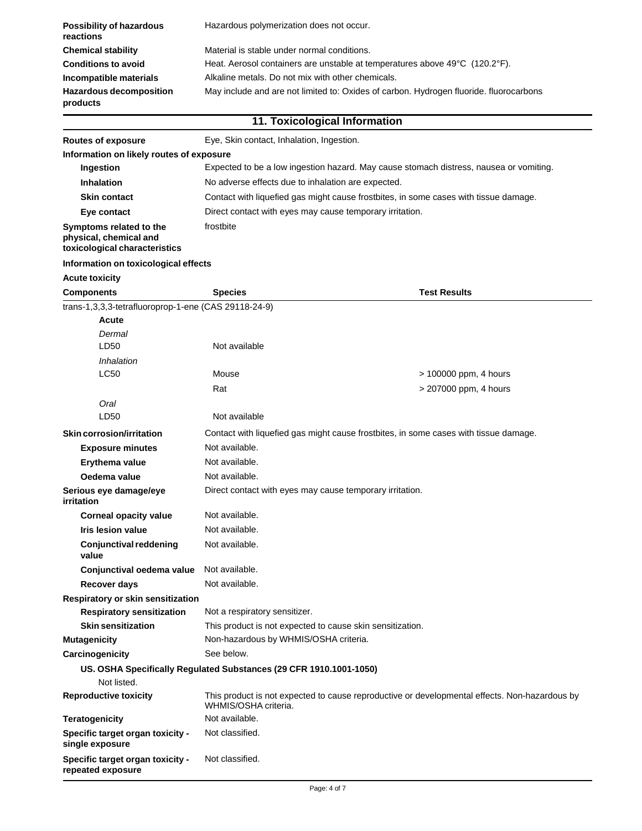| <b>Possibility of hazardous</b><br>reactions | Hazardous polymerization does not occur.                                               |
|----------------------------------------------|----------------------------------------------------------------------------------------|
| <b>Chemical stability</b>                    | Material is stable under normal conditions.                                            |
| <b>Conditions to avoid</b>                   | Heat. Aerosol containers are unstable at temperatures above 49°C (120.2°F).            |
| Incompatible materials                       | Alkaline metals. Do not mix with other chemicals.                                      |
| <b>Hazardous decomposition</b><br>products   | May include and are not limited to: Oxides of carbon. Hydrogen fluoride. fluorocarbons |

|                                                                                    |                                                                                      | 11. Toxicological Information                                                                 |  |
|------------------------------------------------------------------------------------|--------------------------------------------------------------------------------------|-----------------------------------------------------------------------------------------------|--|
| <b>Routes of exposure</b>                                                          | Eye, Skin contact, Inhalation, Ingestion.                                            |                                                                                               |  |
| Information on likely routes of exposure                                           |                                                                                      |                                                                                               |  |
| Ingestion                                                                          |                                                                                      | Expected to be a low ingestion hazard. May cause stomach distress, nausea or vomiting.        |  |
| <b>Inhalation</b>                                                                  | No adverse effects due to inhalation are expected.                                   |                                                                                               |  |
| <b>Skin contact</b>                                                                | Contact with liquefied gas might cause frostbites, in some cases with tissue damage. |                                                                                               |  |
| Eye contact                                                                        | Direct contact with eyes may cause temporary irritation.                             |                                                                                               |  |
| Symptoms related to the<br>physical, chemical and<br>toxicological characteristics | frostbite                                                                            |                                                                                               |  |
| Information on toxicological effects                                               |                                                                                      |                                                                                               |  |
| <b>Acute toxicity</b>                                                              |                                                                                      |                                                                                               |  |
| <b>Components</b>                                                                  | <b>Species</b>                                                                       | <b>Test Results</b>                                                                           |  |
| trans-1,3,3,3-tetrafluoroprop-1-ene (CAS 29118-24-9)                               |                                                                                      |                                                                                               |  |
| Acute                                                                              |                                                                                      |                                                                                               |  |
| Dermal<br>LD50                                                                     | Not available                                                                        |                                                                                               |  |
| Inhalation                                                                         |                                                                                      |                                                                                               |  |
| <b>LC50</b>                                                                        | Mouse                                                                                | > 100000 ppm, 4 hours                                                                         |  |
|                                                                                    | Rat                                                                                  | > 207000 ppm, 4 hours                                                                         |  |
| Oral                                                                               |                                                                                      |                                                                                               |  |
| LD50                                                                               | Not available                                                                        |                                                                                               |  |
| Skin corrosion/irritation                                                          |                                                                                      | Contact with liquefied gas might cause frostbites, in some cases with tissue damage.          |  |
| <b>Exposure minutes</b>                                                            | Not available.                                                                       |                                                                                               |  |
| Erythema value                                                                     | Not available.                                                                       |                                                                                               |  |
| Oedema value                                                                       | Not available.                                                                       |                                                                                               |  |
| Serious eye damage/eye<br>irritation                                               | Direct contact with eyes may cause temporary irritation.                             |                                                                                               |  |
| <b>Corneal opacity value</b>                                                       | Not available.                                                                       |                                                                                               |  |
| <b>Iris lesion value</b>                                                           | Not available.                                                                       |                                                                                               |  |
| <b>Conjunctival reddening</b><br>value                                             | Not available.                                                                       |                                                                                               |  |
| Conjunctival oedema value                                                          | Not available.                                                                       |                                                                                               |  |
| Recover days                                                                       | Not available.                                                                       |                                                                                               |  |
| Respiratory or skin sensitization                                                  |                                                                                      |                                                                                               |  |
| <b>Respiratory sensitization</b>                                                   | Not a respiratory sensitizer.                                                        |                                                                                               |  |
| <b>Skin sensitization</b>                                                          | This product is not expected to cause skin sensitization.                            |                                                                                               |  |
| <b>Mutagenicity</b>                                                                | Non-hazardous by WHMIS/OSHA criteria.                                                |                                                                                               |  |
| Carcinogenicity                                                                    | See below.                                                                           |                                                                                               |  |
|                                                                                    | US. OSHA Specifically Regulated Substances (29 CFR 1910.1001-1050)                   |                                                                                               |  |
| Not listed.                                                                        |                                                                                      |                                                                                               |  |
| <b>Reproductive toxicity</b>                                                       | WHMIS/OSHA criteria.                                                                 | This product is not expected to cause reproductive or developmental effects. Non-hazardous by |  |
| <b>Teratogenicity</b>                                                              | Not available.                                                                       |                                                                                               |  |
| Specific target organ toxicity -<br>single exposure                                | Not classified.                                                                      |                                                                                               |  |
| Specific target organ toxicity -<br>repeated exposure                              | Not classified.                                                                      |                                                                                               |  |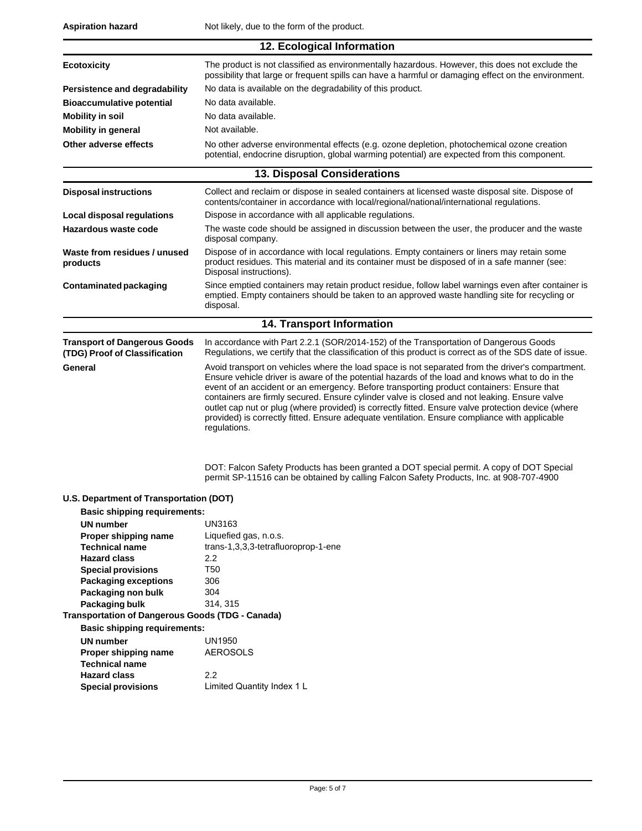| 12. Ecological Information                                           |                                                                                                                                                                                                                                                                                                                                                                                                                                                                                                                                                                                                                         |  |  |
|----------------------------------------------------------------------|-------------------------------------------------------------------------------------------------------------------------------------------------------------------------------------------------------------------------------------------------------------------------------------------------------------------------------------------------------------------------------------------------------------------------------------------------------------------------------------------------------------------------------------------------------------------------------------------------------------------------|--|--|
| <b>Ecotoxicity</b>                                                   | The product is not classified as environmentally hazardous. However, this does not exclude the<br>possibility that large or frequent spills can have a harmful or damaging effect on the environment.                                                                                                                                                                                                                                                                                                                                                                                                                   |  |  |
| <b>Persistence and degradability</b>                                 | No data is available on the degradability of this product.                                                                                                                                                                                                                                                                                                                                                                                                                                                                                                                                                              |  |  |
| <b>Bioaccumulative potential</b>                                     | No data available.                                                                                                                                                                                                                                                                                                                                                                                                                                                                                                                                                                                                      |  |  |
| <b>Mobility in soil</b>                                              | No data available.                                                                                                                                                                                                                                                                                                                                                                                                                                                                                                                                                                                                      |  |  |
| <b>Mobility in general</b>                                           | Not available.                                                                                                                                                                                                                                                                                                                                                                                                                                                                                                                                                                                                          |  |  |
| Other adverse effects                                                | No other adverse environmental effects (e.g. ozone depletion, photochemical ozone creation                                                                                                                                                                                                                                                                                                                                                                                                                                                                                                                              |  |  |
|                                                                      | potential, endocrine disruption, global warming potential) are expected from this component.                                                                                                                                                                                                                                                                                                                                                                                                                                                                                                                            |  |  |
|                                                                      | <b>13. Disposal Considerations</b>                                                                                                                                                                                                                                                                                                                                                                                                                                                                                                                                                                                      |  |  |
| <b>Disposal instructions</b>                                         | Collect and reclaim or dispose in sealed containers at licensed waste disposal site. Dispose of<br>contents/container in accordance with local/regional/national/international regulations.                                                                                                                                                                                                                                                                                                                                                                                                                             |  |  |
| Local disposal regulations                                           | Dispose in accordance with all applicable regulations.                                                                                                                                                                                                                                                                                                                                                                                                                                                                                                                                                                  |  |  |
| Hazardous waste code                                                 | The waste code should be assigned in discussion between the user, the producer and the waste<br>disposal company.                                                                                                                                                                                                                                                                                                                                                                                                                                                                                                       |  |  |
| Waste from residues / unused<br>products                             | Dispose of in accordance with local regulations. Empty containers or liners may retain some<br>product residues. This material and its container must be disposed of in a safe manner (see:<br>Disposal instructions).                                                                                                                                                                                                                                                                                                                                                                                                  |  |  |
| Contaminated packaging                                               | Since emptied containers may retain product residue, follow label warnings even after container is<br>emptied. Empty containers should be taken to an approved waste handling site for recycling or<br>disposal.                                                                                                                                                                                                                                                                                                                                                                                                        |  |  |
| 14. Transport Information                                            |                                                                                                                                                                                                                                                                                                                                                                                                                                                                                                                                                                                                                         |  |  |
| <b>Transport of Dangerous Goods</b><br>(TDG) Proof of Classification | In accordance with Part 2.2.1 (SOR/2014-152) of the Transportation of Dangerous Goods<br>Regulations, we certify that the classification of this product is correct as of the SDS date of issue.                                                                                                                                                                                                                                                                                                                                                                                                                        |  |  |
| General                                                              | Avoid transport on vehicles where the load space is not separated from the driver's compartment.<br>Ensure vehicle driver is aware of the potential hazards of the load and knows what to do in the<br>event of an accident or an emergency. Before transporting product containers: Ensure that<br>containers are firmly secured. Ensure cylinder valve is closed and not leaking. Ensure valve<br>outlet cap nut or plug (where provided) is correctly fitted. Ensure valve protection device (where<br>provided) is correctly fitted. Ensure adequate ventilation. Ensure compliance with applicable<br>regulations. |  |  |
|                                                                      | DOT: Falcon Safety Products has been granted a DOT special permit. A copy of DOT Special<br>permit SP-11516 can be obtained by calling Falcon Safety Products, Inc. at 908-707-4900                                                                                                                                                                                                                                                                                                                                                                                                                                     |  |  |
| U.S. Department of Transportation (DOT)                              |                                                                                                                                                                                                                                                                                                                                                                                                                                                                                                                                                                                                                         |  |  |
| <b>Basic shipping requirements:</b>                                  |                                                                                                                                                                                                                                                                                                                                                                                                                                                                                                                                                                                                                         |  |  |
| UN number                                                            | UN3163                                                                                                                                                                                                                                                                                                                                                                                                                                                                                                                                                                                                                  |  |  |
| Proper shipping name<br><b>Technical name</b>                        | Liquefied gas, n.o.s.<br>trans-1,3,3,3-tetrafluoroprop-1-ene                                                                                                                                                                                                                                                                                                                                                                                                                                                                                                                                                            |  |  |
| <b>Hazard class</b>                                                  | $2.2\,$                                                                                                                                                                                                                                                                                                                                                                                                                                                                                                                                                                                                                 |  |  |
| <b>Special provisions</b>                                            | T50                                                                                                                                                                                                                                                                                                                                                                                                                                                                                                                                                                                                                     |  |  |
| <b>Packaging exceptions</b>                                          | 306                                                                                                                                                                                                                                                                                                                                                                                                                                                                                                                                                                                                                     |  |  |
| Packaging non bulk                                                   | 304                                                                                                                                                                                                                                                                                                                                                                                                                                                                                                                                                                                                                     |  |  |
| Packaging bulk                                                       | 314, 315                                                                                                                                                                                                                                                                                                                                                                                                                                                                                                                                                                                                                |  |  |
| <b>Transportation of Dangerous Goods (TDG - Canada)</b>              |                                                                                                                                                                                                                                                                                                                                                                                                                                                                                                                                                                                                                         |  |  |
| <b>Basic shipping requirements:</b>                                  |                                                                                                                                                                                                                                                                                                                                                                                                                                                                                                                                                                                                                         |  |  |
| <b>UN number</b><br>Proper shipping name                             | <b>UN1950</b><br><b>AEROSOLS</b>                                                                                                                                                                                                                                                                                                                                                                                                                                                                                                                                                                                        |  |  |
| <b>Technical name</b>                                                |                                                                                                                                                                                                                                                                                                                                                                                                                                                                                                                                                                                                                         |  |  |
| <b>Hazard class</b>                                                  | $2.2\phantom{0}$                                                                                                                                                                                                                                                                                                                                                                                                                                                                                                                                                                                                        |  |  |
| <b>Special provisions</b>                                            | Limited Quantity Index 1 L                                                                                                                                                                                                                                                                                                                                                                                                                                                                                                                                                                                              |  |  |
|                                                                      |                                                                                                                                                                                                                                                                                                                                                                                                                                                                                                                                                                                                                         |  |  |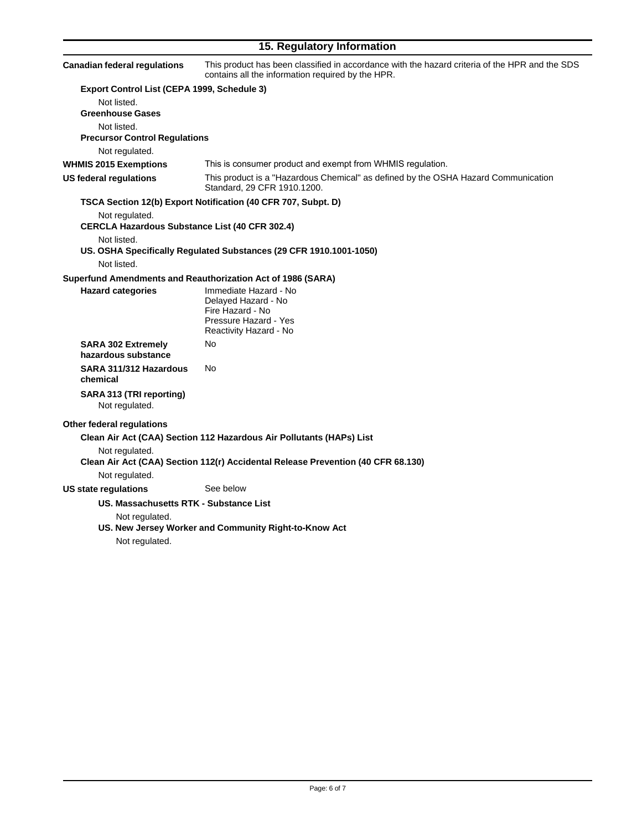# **15. Regulatory Information**

| <b>Canadian federal regulations</b>                         | This product has been classified in accordance with the hazard criteria of the HPR and the SDS<br>contains all the information required by the HPR. |
|-------------------------------------------------------------|-----------------------------------------------------------------------------------------------------------------------------------------------------|
| Export Control List (CEPA 1999, Schedule 3)                 |                                                                                                                                                     |
| Not listed.                                                 |                                                                                                                                                     |
| <b>Greenhouse Gases</b>                                     |                                                                                                                                                     |
| Not listed.                                                 |                                                                                                                                                     |
| <b>Precursor Control Regulations</b>                        |                                                                                                                                                     |
| Not regulated.                                              |                                                                                                                                                     |
| <b>WHMIS 2015 Exemptions</b>                                | This is consumer product and exempt from WHMIS regulation.                                                                                          |
| US federal regulations                                      | This product is a "Hazardous Chemical" as defined by the OSHA Hazard Communication<br>Standard, 29 CFR 1910.1200.                                   |
|                                                             | TSCA Section 12(b) Export Notification (40 CFR 707, Subpt. D)                                                                                       |
| Not regulated.                                              |                                                                                                                                                     |
| <b>CERCLA Hazardous Substance List (40 CFR 302.4)</b>       |                                                                                                                                                     |
| Not listed.                                                 |                                                                                                                                                     |
|                                                             | US. OSHA Specifically Regulated Substances (29 CFR 1910.1001-1050)                                                                                  |
| Not listed.                                                 |                                                                                                                                                     |
| Superfund Amendments and Reauthorization Act of 1986 (SARA) |                                                                                                                                                     |
| <b>Hazard categories</b>                                    | Immediate Hazard - No<br>Delayed Hazard - No                                                                                                        |
|                                                             | Fire Hazard - No                                                                                                                                    |
|                                                             | Pressure Hazard - Yes                                                                                                                               |
|                                                             | Reactivity Hazard - No                                                                                                                              |
| <b>SARA 302 Extremely</b><br>hazardous substance            | No                                                                                                                                                  |
| SARA 311/312 Hazardous<br>chemical                          | No                                                                                                                                                  |
| SARA 313 (TRI reporting)<br>Not regulated.                  |                                                                                                                                                     |
| Other federal regulations                                   |                                                                                                                                                     |
|                                                             | Clean Air Act (CAA) Section 112 Hazardous Air Pollutants (HAPs) List                                                                                |
| Not regulated.                                              |                                                                                                                                                     |
| Not regulated.                                              | Clean Air Act (CAA) Section 112(r) Accidental Release Prevention (40 CFR 68.130)                                                                    |
| US state regulations                                        | See below                                                                                                                                           |
| US. Massachusetts RTK - Substance List                      |                                                                                                                                                     |
| Not regulated.                                              |                                                                                                                                                     |
| Not regulated.                                              | US. New Jersey Worker and Community Right-to-Know Act                                                                                               |
|                                                             |                                                                                                                                                     |
|                                                             |                                                                                                                                                     |